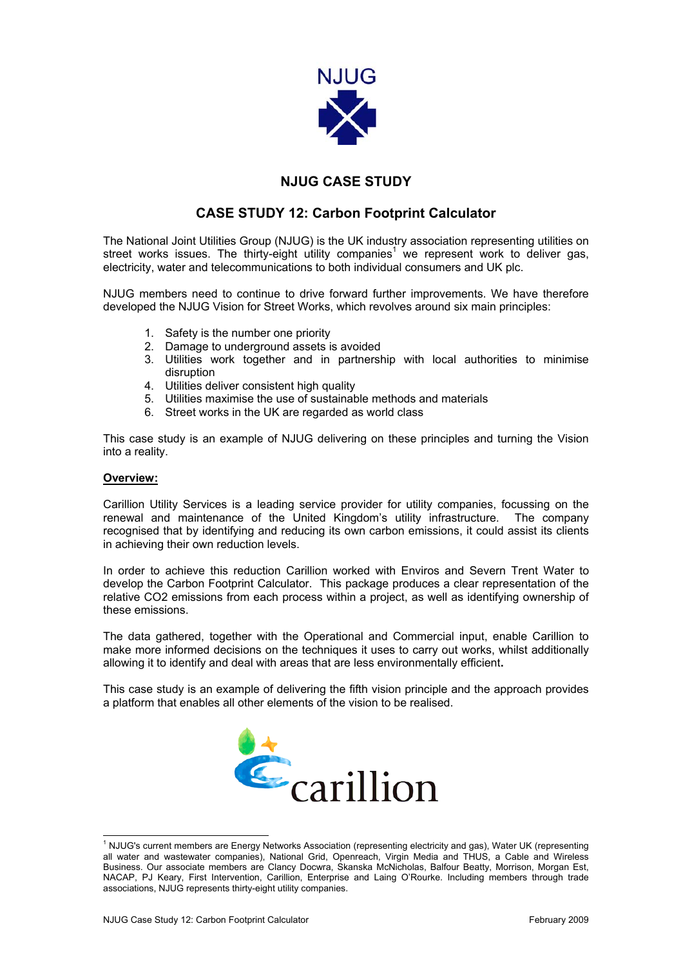

## **NJUG CASE STUDY**

## **CASE STUDY 12: Carbon Footprint Calculator**

The National Joint Utilities Group (NJUG) is the UK industry association representing utilities on streetworks issues. The thirty-eight utility companies<sup>1</sup> we represent work to deliver gas, electricity, water and telecommunications to both individual consumers and UK plc.

NJUG members need to continue to drive forward further improvements. We have therefore developed the NJUG Vision for Street Works, which revolves around six main principles:

- 1. Safety is the number one priority
- 2. Damage to underground assets is avoided
- 3. Utilities work together and in partnership with local authorities to minimise disruption
- 4. Utilities deliver consistent high quality
- 5. Utilities maximise the use of sustainable methods and materials
- 6. Street works in the UK are regarded as world class

This case study is an example of NJUG delivering on these principles and turning the Vision into a reality.

## **Overview:**

Carillion Utility Services is a leading service provider for utility companies, focussing on the renewal and maintenance of the United Kingdom's utility infrastructure. The company recognised that by identifying and reducing its own carbon emissions, it could assist its clients in achieving their own reduction levels.

In order to achieve this reduction Carillion worked with Enviros and Severn Trent Water to develop the Carbon Footprint Calculator. This package produces a clear representation of the relative CO2 emissions from each process within a project, as well as identifying ownership of these emissions.

The data gathered, together with the Operational and Commercial input, enable Carillion to make more informed decisions on the techniques it uses to carry out works, whilst additionally allowing it to identify and deal with areas that are less environmentally efficient**.** 

This case study is an example of delivering the fifth vision principle and the approach provides a platform that enables all other elements of the vision to be realised.

<span id="page-0-0"></span>

 $\frac{1}{1}$ <sup>1</sup> NJUG's current members are Energy Networks Association (representing electricity and gas), Water UK (representing all water and wastewater companies), National Grid, Openreach, Virgin Media and THUS, a Cable and Wireless Business. Our associate members are Clancy Docwra, Skanska McNicholas, Balfour Beatty, Morrison, Morgan Est, NACAP, PJ Keary, First Intervention, Carillion, Enterprise and Laing O'Rourke. Including members through trade associations, NJUG represents thirty-eight utility companies.